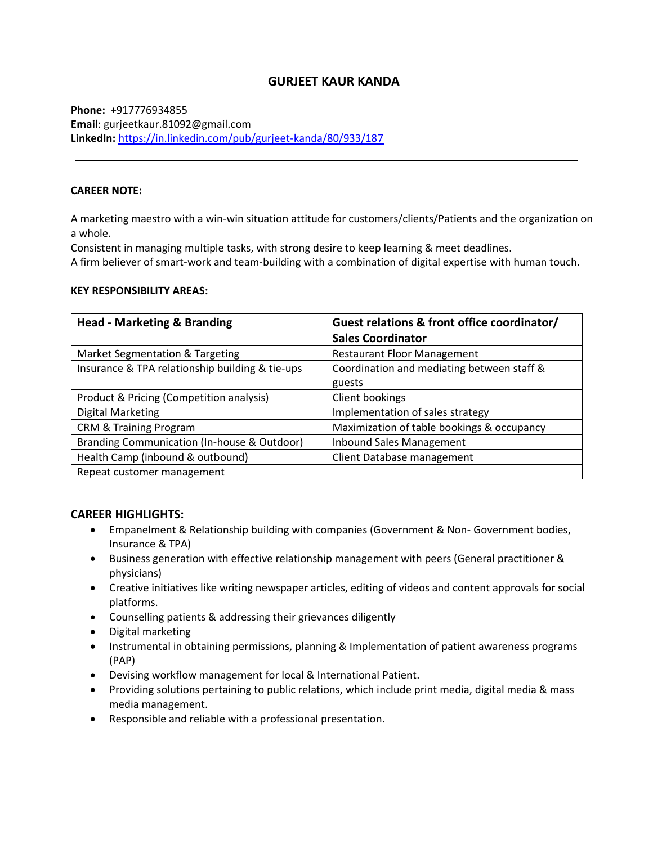# **GURJEET KAUR KANDA**

**Phone:** +917776934855 **Email**: [gurjeetkaur.81092@gmail.com](mailto:gurjeetkaur.81092@gmail.com) **LinkedIn:** <https://in.linkedin.com/pub/gurjeet-kanda/80/933/187>

### **CAREER NOTE:**

A marketing maestro with a win-win situation attitude for customers/clients/Patients and the organization on a whole.

Consistent in managing multiple tasks, with strong desire to keep learning & meet deadlines.

A firm believer of smart-work and team-building with a combination of digital expertise with human touch.

### **KEY RESPONSIBILITY AREAS:**

| <b>Head - Marketing &amp; Branding</b>          | Guest relations & front office coordinator/ |  |
|-------------------------------------------------|---------------------------------------------|--|
|                                                 | <b>Sales Coordinator</b>                    |  |
| Market Segmentation & Targeting                 | <b>Restaurant Floor Management</b>          |  |
| Insurance & TPA relationship building & tie-ups | Coordination and mediating between staff &  |  |
|                                                 | guests                                      |  |
| Product & Pricing (Competition analysis)        | Client bookings                             |  |
| <b>Digital Marketing</b>                        | Implementation of sales strategy            |  |
| <b>CRM &amp; Training Program</b>               | Maximization of table bookings & occupancy  |  |
| Branding Communication (In-house & Outdoor)     | <b>Inbound Sales Management</b>             |  |
| Health Camp (inbound & outbound)                | Client Database management                  |  |
| Repeat customer management                      |                                             |  |

## **CAREER HIGHLIGHTS:**

- Empanelment & Relationship building with companies (Government & Non- Government bodies, Insurance & TPA)
- Business generation with effective relationship management with peers (General practitioner & physicians)
- Creative initiatives like writing newspaper articles, editing of videos and content approvals for social platforms.
- Counselling patients & addressing their grievances diligently
- Digital marketing
- Instrumental in obtaining permissions, planning & Implementation of patient awareness programs (PAP)
- Devising workflow management for local & International Patient.
- Providing solutions pertaining to public relations, which include print media, digital media & mass media management.
- Responsible and reliable with a professional presentation.